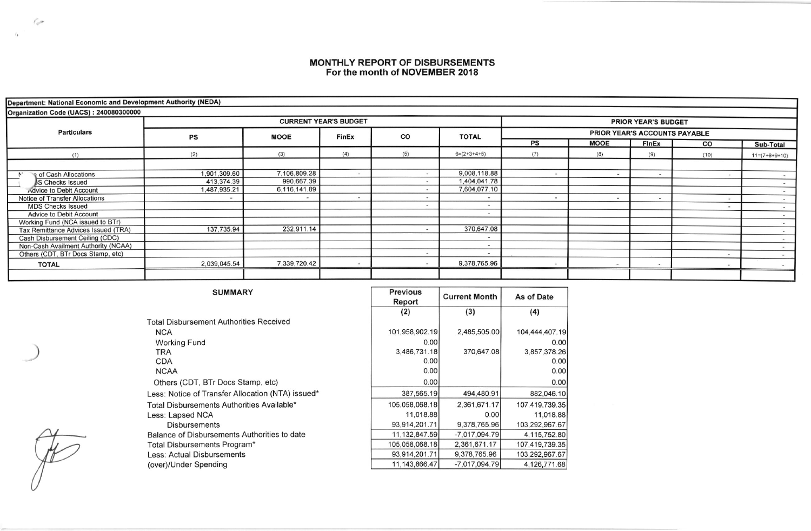## **MONTHLY REPORT OF DISBURSEMENTS**<br>For the month of NOVEMBER 2018

| Department: National Economic and Development Authority (NEDA) |              |              |                              |     |                            |                               |             |                          |                          |                              |  |  |
|----------------------------------------------------------------|--------------|--------------|------------------------------|-----|----------------------------|-------------------------------|-------------|--------------------------|--------------------------|------------------------------|--|--|
| Organization Code (UACS): 240080300000                         |              |              |                              |     |                            |                               |             |                          |                          |                              |  |  |
| <b>Particulars</b>                                             |              |              | <b>CURRENT YEAR'S BUDGET</b> |     | <b>PRIOR YEAR'S BUDGET</b> |                               |             |                          |                          |                              |  |  |
|                                                                | PS           | <b>MOOE</b>  | <b>FinEx</b>                 | CO  | <b>TOTAL</b>               | PRIOR YEAR'S ACCOUNTS PAYABLE |             |                          |                          |                              |  |  |
|                                                                |              |              |                              |     |                            | PS                            | <b>MOOE</b> | <b>FInEx</b>             | CO                       | Sub-Total                    |  |  |
| (1)                                                            | (2)          | (3)          | (4)                          | (5) | $6=(2+3+4+5)$              | (7)                           | (8)         | (9)                      | (10)                     | $11=(7+8+9+10)$              |  |  |
|                                                                |              |              |                              |     |                            |                               |             |                          |                          |                              |  |  |
| ९ of Cash Allocations                                          | 1,901,309.60 | 7,106,809.28 |                              |     | 9,008,118.88               |                               | $\sim$      | $\overline{\phantom{a}}$ | $\sim$                   | $\qquad \qquad \blacksquare$ |  |  |
| <b>IS Checks Issued</b>                                        | 413,374.39   | 990,667.39   |                              |     | 1,404,041.78               |                               |             |                          |                          | $\overline{a}$               |  |  |
| Advice to Debit Account                                        | 1,487,935.21 | 6,116,141.89 |                              |     | 7,604,077.10               |                               |             |                          |                          | $-$                          |  |  |
| <b>Notice of Transfer Allocations</b>                          |              | $\,$         | $\blacksquare$               |     |                            |                               |             | $\,$ $\,$                | $\overline{\phantom{a}}$ | $\sim$                       |  |  |
| <b>MDS Checks Issued</b>                                       |              |              |                              |     |                            |                               |             |                          | $\overline{\phantom{m}}$ | $\sim$                       |  |  |
| <b>Advice to Debit Account</b>                                 |              |              |                              |     | $\overline{\phantom{a}}$   |                               |             |                          |                          |                              |  |  |
| Working Fund (NCA issued to BTr)                               |              |              |                              |     |                            |                               |             |                          |                          |                              |  |  |
| Tax Remittance Advices Issued (TRA)                            | 137,735.94   | 232,911.14   |                              |     | 370,647.08                 |                               |             |                          |                          |                              |  |  |
| Cash Disbursement Ceiling (CDC)                                |              |              |                              |     |                            |                               |             |                          |                          |                              |  |  |
| Non-Cash Availment Authority (NCAA)                            |              |              |                              |     |                            |                               |             |                          |                          |                              |  |  |
| Others (CDT, BTr Docs Stamp, etc)                              |              |              |                              |     | $\overline{\phantom{m}}$   |                               |             |                          | $\sim$                   |                              |  |  |
| <b>TOTAL</b>                                                   | 2,039,045.54 | 7,339,720.42 |                              |     | 9,378,765.96               |                               |             |                          |                          |                              |  |  |
|                                                                |              |              |                              |     |                            |                               |             |                          |                          |                              |  |  |

| <b>SUMMARY</b>                                    | <b>Previous</b>  | <b>Current Month</b> | As of Date     |  |
|---------------------------------------------------|------------------|----------------------|----------------|--|
|                                                   | Report           |                      |                |  |
|                                                   | (2)              | (3)                  | (4)            |  |
| <b>Total Disbursement Authorities Received</b>    |                  |                      |                |  |
| <b>NCA</b>                                        | 101,958,902.19   | 2,485,505.00         | 104.444,407.19 |  |
| <b>Working Fund</b>                               | 0.00             |                      | 0.00           |  |
| TRA                                               | 3,486,731.18     | 370,647.08           | 3,857,378.26   |  |
| <b>CDA</b>                                        | 0.00             |                      | 0.00           |  |
| <b>NCAA</b>                                       | 0.00             |                      | 0.00           |  |
| Others (CDT, BTr Docs Stamp, etc)                 | 0.00             |                      | 0.00           |  |
| Less: Notice of Transfer Allocation (NTA) issued* | 387,565.19       | 494,480.91           | 882,046.10     |  |
| Total Disbursements Authorities Available*        | 105,058,068.18   | 2,361,671.17         | 107,419,739.35 |  |
| Less: Lapsed NCA                                  | 11,018.88        | 0.001                | 11.018.88      |  |
| <b>Disbursements</b>                              | 93.914.201.71    | 9,378,765.96         | 103,292,967.67 |  |
| Balance of Disbursements Authorities to date      | 11,132,847.59    | $-7,017,094.79$      | 4,115,752.80   |  |
| Total Disbursements Program*                      | 105.058.068.18   | 2,361,671.17         | 107,419,739.35 |  |
| Less: Actual Disbursements                        | 93,914,201.71    | 9,378,765.96         | 103,292,967.67 |  |
| (over)/Under Spending                             | 11, 143, 866, 47 | $-7,017,094.79$      | 4,126,771.68   |  |

 $\mu$ 

 $\mathcal{L}_{\mathcal{A}}$ 

 $\ell_{\Phi}$